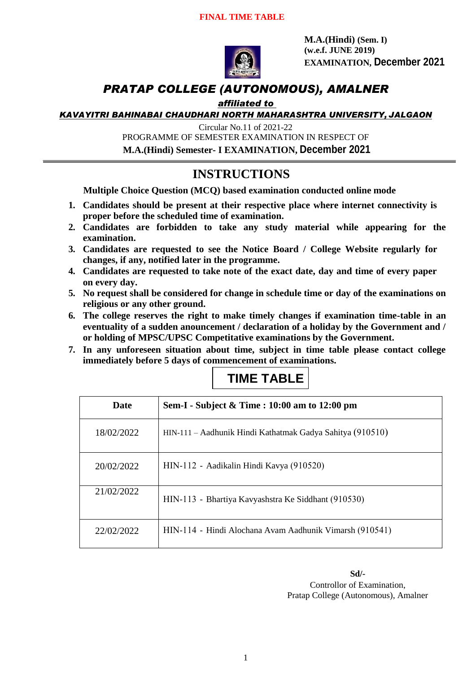

**M.A.(Hindi) (Sem. I) (w.e.f. JUNE 2019) EXAMINATION, December 2021**

# *PRATAP COLLEGE (AUTONOMOUS), AMALNER*

#### *affiliated to*

*KAVAYITRI BAHINABAI CHAUDHARI NORTH MAHARASHTRA UNIVERSITY, JALGAON*

Circular No.11 of 2021-22

PROGRAMME OF SEMESTER EXAMINATION IN RESPECT OF

**M.A.(Hindi) Semester- I EXAMINATION, December 2021**

# **INSTRUCTIONS**

**Multiple Choice Question (MCQ) based examination conducted online mode**

- **1. Candidates should be present at their respective place where internet connectivity is proper before the scheduled time of examination.**
- **2. Candidates are forbidden to take any study material while appearing for the examination.**
- **3. Candidates are requested to see the Notice Board / College Website regularly for changes, if any, notified later in the programme.**
- **4. Candidates are requested to take note of the exact date, day and time of every paper on every day.**
- **5. No request shall be considered for change in schedule time or day of the examinations on religious or any other ground.**
- **6. The college reserves the right to make timely changes if examination time-table in an eventuality of a sudden anouncement / declaration of a holiday by the Government and / or holding of MPSC/UPSC Competitative examinations by the Government.**
- **7. In any unforeseen situation about time, subject in time table please contact college immediately before 5 days of commencement of examinations.**

# **TIME TABLE**

| <b>Date</b> | Sem-I - Subject & Time : 10:00 am to 12:00 pm             |
|-------------|-----------------------------------------------------------|
| 18/02/2022  | HIN-111 – Aadhunik Hindi Kathatmak Gadya Sahitya (910510) |
| 20/02/2022  | HIN-112 - Aadikalin Hindi Kavya (910520)                  |
| 21/02/2022  | HIN-113 - Bhartiya Kavyashstra Ke Siddhant (910530)       |
| 22/02/2022  | HIN-114 - Hindi Alochana Avam Aadhunik Vimarsh (910541)   |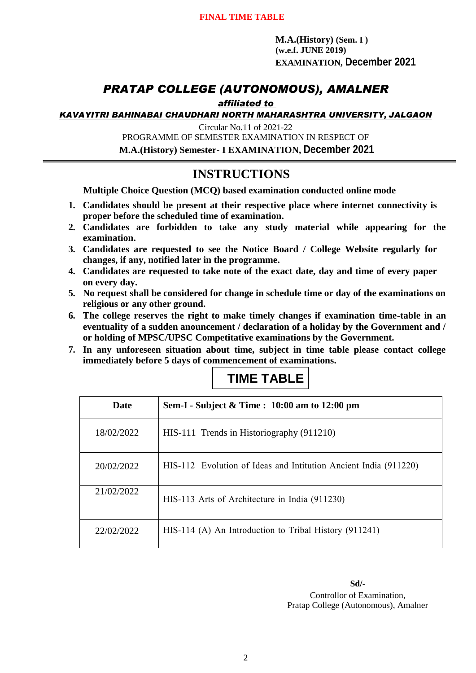**M.A.(History) (Sem. I ) (w.e.f. JUNE 2019) EXAMINATION, December 2021**

### *PRATAP COLLEGE (AUTONOMOUS), AMALNER*

#### *affiliated to*

*KAVAYITRI BAHINABAI CHAUDHARI NORTH MAHARASHTRA UNIVERSITY, JALGAON*

Circular No.11 of 2021-22

PROGRAMME OF SEMESTER EXAMINATION IN RESPECT OF

**M.A.(History) Semester- I EXAMINATION, December 2021**

## **INSTRUCTIONS**

**Multiple Choice Question (MCQ) based examination conducted online mode**

- **1. Candidates should be present at their respective place where internet connectivity is proper before the scheduled time of examination.**
- **2. Candidates are forbidden to take any study material while appearing for the examination.**
- **3. Candidates are requested to see the Notice Board / College Website regularly for changes, if any, notified later in the programme.**
- **4. Candidates are requested to take note of the exact date, day and time of every paper on every day.**
- **5. No request shall be considered for change in schedule time or day of the examinations on religious or any other ground.**
- **6. The college reserves the right to make timely changes if examination time-table in an eventuality of a sudden anouncement / declaration of a holiday by the Government and / or holding of MPSC/UPSC Competitative examinations by the Government.**
- **7. In any unforeseen situation about time, subject in time table please contact college immediately before 5 days of commencement of examinations.**

# **TIME TABLE**

| <b>Date</b> | Sem-I - Subject & Time: 10:00 am to 12:00 pm                     |
|-------------|------------------------------------------------------------------|
| 18/02/2022  | HIS-111 Trends in Historiography (911210)                        |
| 20/02/2022  | HIS-112 Evolution of Ideas and Intitution Ancient India (911220) |
| 21/02/2022  | HIS-113 Arts of Architecture in India (911230)                   |
| 22/02/2022  | $HIS-114$ (A) An Introduction to Tribal History (911241)         |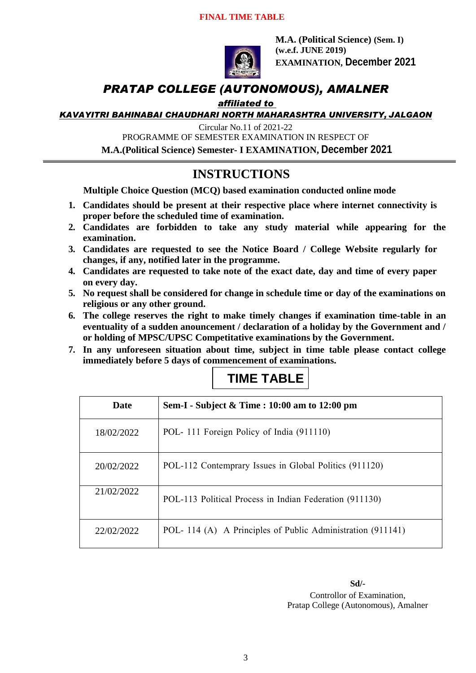#### **FINAL TIME TABLE**



**M.A. (Political Science) (Sem. I) (w.e.f. JUNE 2019) EXAMINATION, December 2021**

## *PRATAP COLLEGE (AUTONOMOUS), AMALNER*

#### *affiliated to*

*KAVAYITRI BAHINABAI CHAUDHARI NORTH MAHARASHTRA UNIVERSITY, JALGAON*

Circular No.11 of 2021-22

PROGRAMME OF SEMESTER EXAMINATION IN RESPECT OF

**M.A.(Political Science) Semester- I EXAMINATION, December 2021**

### **INSTRUCTIONS**

**Multiple Choice Question (MCQ) based examination conducted online mode**

- **1. Candidates should be present at their respective place where internet connectivity is proper before the scheduled time of examination.**
- **2. Candidates are forbidden to take any study material while appearing for the examination.**
- **3. Candidates are requested to see the Notice Board / College Website regularly for changes, if any, notified later in the programme.**
- **4. Candidates are requested to take note of the exact date, day and time of every paper on every day.**
- **5. No request shall be considered for change in schedule time or day of the examinations on religious or any other ground.**
- **6. The college reserves the right to make timely changes if examination time-table in an eventuality of a sudden anouncement / declaration of a holiday by the Government and / or holding of MPSC/UPSC Competitative examinations by the Government.**
- **7. In any unforeseen situation about time, subject in time table please contact college immediately before 5 days of commencement of examinations.**

# **TIME TABLE**

| <b>Date</b> | Sem-I - Subject $\&$ Time : 10:00 am to 12:00 pm           |
|-------------|------------------------------------------------------------|
| 18/02/2022  | POL-111 Foreign Policy of India (911110)                   |
| 20/02/2022  | POL-112 Contemprary Issues in Global Politics (911120)     |
| 21/02/2022  | POL-113 Political Process in Indian Federation (911130)    |
| 22/02/2022  | POL-114 (A) A Principles of Public Administration (911141) |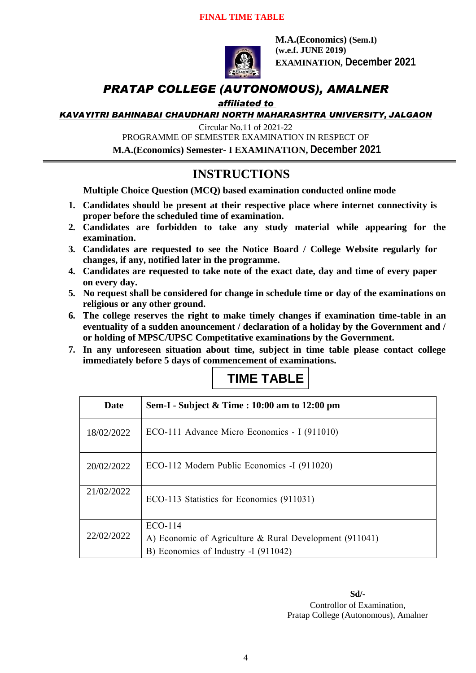#### **FINAL TIME TABLE**



**M.A.(Economics) (Sem.I) (w.e.f. JUNE 2019) EXAMINATION, December 2021**

# *PRATAP COLLEGE (AUTONOMOUS), AMALNER*

#### *affiliated to*

*KAVAYITRI BAHINABAI CHAUDHARI NORTH MAHARASHTRA UNIVERSITY, JALGAON*

Circular No.11 of 2021-22

PROGRAMME OF SEMESTER EXAMINATION IN RESPECT OF

**M.A.(Economics) Semester- I EXAMINATION, December 2021**

## **INSTRUCTIONS**

**Multiple Choice Question (MCQ) based examination conducted online mode**

- **1. Candidates should be present at their respective place where internet connectivity is proper before the scheduled time of examination.**
- **2. Candidates are forbidden to take any study material while appearing for the examination.**
- **3. Candidates are requested to see the Notice Board / College Website regularly for changes, if any, notified later in the programme.**
- **4. Candidates are requested to take note of the exact date, day and time of every paper on every day.**
- **5. No request shall be considered for change in schedule time or day of the examinations on religious or any other ground.**
- **6. The college reserves the right to make timely changes if examination time-table in an eventuality of a sudden anouncement / declaration of a holiday by the Government and / or holding of MPSC/UPSC Competitative examinations by the Government.**
- **7. In any unforeseen situation about time, subject in time table please contact college immediately before 5 days of commencement of examinations.**

# **TIME TABLE**

| Date       | Sem-I - Subject & Time : 10:00 am to 12:00 pm             |
|------------|-----------------------------------------------------------|
| 18/02/2022 | ECO-111 Advance Micro Economics - I (911010)              |
| 20/02/2022 | ECO-112 Modern Public Economics -I (911020)               |
| 21/02/2022 | ECO-113 Statistics for Economics (911031)                 |
| 22/02/2022 | $ECO-114$                                                 |
|            | A) Economic of Agriculture & Rural Development $(911041)$ |
|            | B) Economics of Industry -I (911042)                      |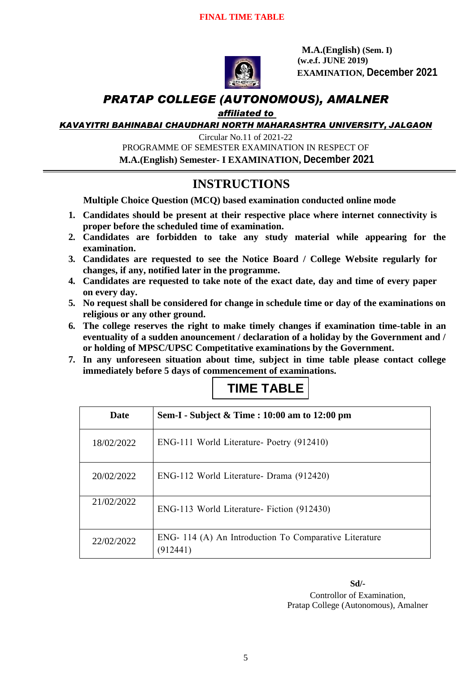

 **M.A.(English) (Sem. I) (w.e.f. JUNE 2019) EXAMINATION, December 2021**

## *PRATAP COLLEGE (AUTONOMOUS), AMALNER*

#### *affiliated to*

*KAVAYITRI BAHINABAI CHAUDHARI NORTH MAHARASHTRA UNIVERSITY, JALGAON*

Circular No.11 of 2021-22 PROGRAMME OF SEMESTER EXAMINATION IN RESPECT OF

**M.A.(English) Semester- I EXAMINATION, December 2021**

# **INSTRUCTIONS**

**Multiple Choice Question (MCQ) based examination conducted online mode**

- **1. Candidates should be present at their respective place where internet connectivity is proper before the scheduled time of examination.**
- **2. Candidates are forbidden to take any study material while appearing for the examination.**
- **3. Candidates are requested to see the Notice Board / College Website regularly for changes, if any, notified later in the programme.**
- **4. Candidates are requested to take note of the exact date, day and time of every paper on every day.**
- **5. No request shall be considered for change in schedule time or day of the examinations on religious or any other ground.**
- **6. The college reserves the right to make timely changes if examination time-table in an eventuality of a sudden anouncement / declaration of a holiday by the Government and / or holding of MPSC/UPSC Competitative examinations by the Government.**
- **7. In any unforeseen situation about time, subject in time table please contact college immediately before 5 days of commencement of examinations.**

# **TIME TABLE**

| Date       | Sem-I - Subject & Time : 10:00 am to 12:00 pm                     |
|------------|-------------------------------------------------------------------|
| 18/02/2022 | ENG-111 World Literature- Poetry (912410)                         |
| 20/02/2022 | ENG-112 World Literature- Drama (912420)                          |
| 21/02/2022 | ENG-113 World Literature- Fiction (912430)                        |
| 22/02/2022 | ENG-114 (A) An Introduction To Comparative Literature<br>(912441) |